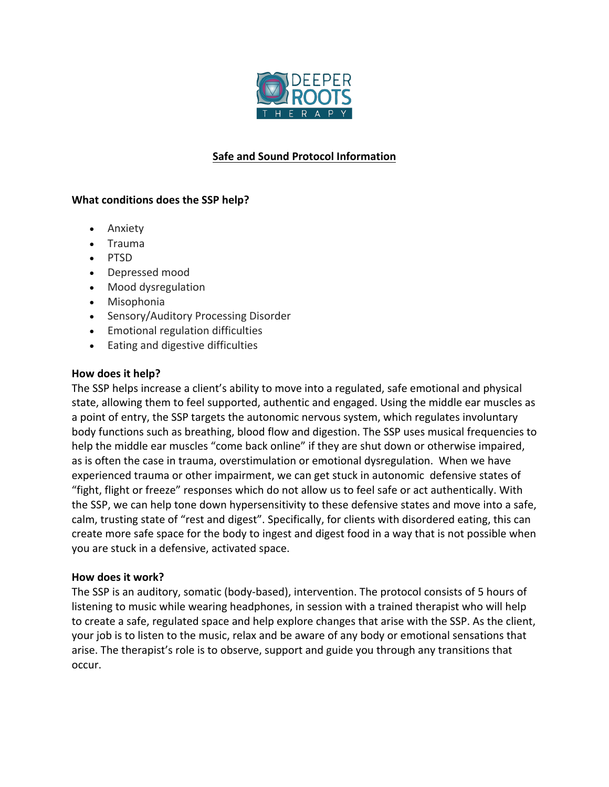

# **Safe and Sound Protocol Information**

## **What conditions does the SSP help?**

- Anxiety
- Trauma
- PTSD
- Depressed mood
- Mood dysregulation
- Misophonia
- Sensory/Auditory Processing Disorder
- Emotional regulation difficulties
- Eating and digestive difficulties

### How does it help?

The SSP helps increase a client's ability to move into a regulated, safe emotional and physical state, allowing them to feel supported, authentic and engaged. Using the middle ear muscles as a point of entry, the SSP targets the autonomic nervous system, which regulates involuntary body functions such as breathing, blood flow and digestion. The SSP uses musical frequencies to help the middle ear muscles "come back online" if they are shut down or otherwise impaired, as is often the case in trauma, overstimulation or emotional dysregulation. When we have experienced trauma or other impairment, we can get stuck in autonomic defensive states of "fight, flight or freeze" responses which do not allow us to feel safe or act authentically. With the SSP, we can help tone down hypersensitivity to these defensive states and move into a safe, calm, trusting state of "rest and digest". Specifically, for clients with disordered eating, this can create more safe space for the body to ingest and digest food in a way that is not possible when you are stuck in a defensive, activated space.

#### How does it work?

The SSP is an auditory, somatic (body-based), intervention. The protocol consists of 5 hours of listening to music while wearing headphones, in session with a trained therapist who will help to create a safe, regulated space and help explore changes that arise with the SSP. As the client, your job is to listen to the music, relax and be aware of any body or emotional sensations that arise. The therapist's role is to observe, support and guide you through any transitions that occur.